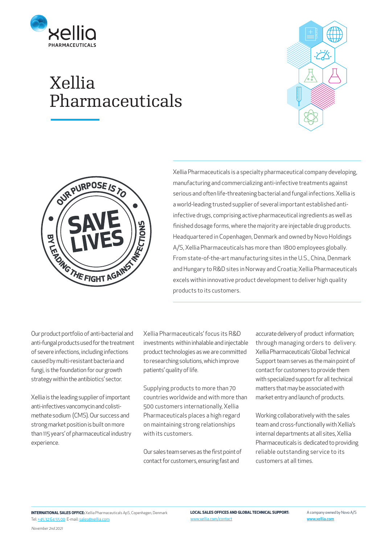**LOCAL SALES OFFICES AND GLOBAL TECHNICAL SUPPORT:**

## Xellia Pharmaceuticals

Xellia Pharmaceuticals is a specialty pharmaceutical company developing, manufacturing and commercializing anti-infective treatments against serious and often life-threatening bacterial and fungal infections. Xellia is a world-leading trusted supplier of several important established antiinfective drugs, comprising active pharmaceutical ingredients as well as finished dosage forms, where the majority are injectable drug products. Headquartered in Copenhagen, Denmark and owned by Novo Holdings A/S, Xellia Pharmaceuticals has more than 1800 employees globally. From state-of-the-art manufacturing sites in the U.S., China, Denmark and Hungary to R&D sites in Norway and Croatia; Xellia Pharmaceuticals excels within innovative product development to deliver high quality products to its customers.

Our product portfolio of anti-bacterial and anti-fungal products used for the treatment of severe infections, including infections caused by multi-resistant bacteria and fungi, is the foundation for our growth strategy within the antibiotics' sector.

Xellia is the leading supplier of important anti-infectives vancomycin and colistimethate sodium (CMS). Our success and strong market position is built on more than 115 years' of pharmaceutical industry experience.

Xellia Pharmaceuticals' focus its R&D investments within inhalable and injectable product technologies as we are committed to researching solutions, which improve patients' quality of life.

Supplying products to more than 70 countries worldwide and with more than 500 customers internationally, Xellia Pharmaceuticals places a high regard on maintaining strong relationships with its customers.

Our sales team serves as the first point of contact for customers, ensuring fast and

accurate delivery of product information; through managing orders to delivery. Xellia Pharmaceuticals' Global Technical Support team serves as the main point of contact for customers to provide them with specialized support for all technical matters that may be associated with market entry and launch of products.

Working collaboratively with the sales team and cross-functionally with Xellia's internal departments at all sites, Xellia Pharmaceuticals is dedicated to providing reliable outstanding service to its customers at all times.